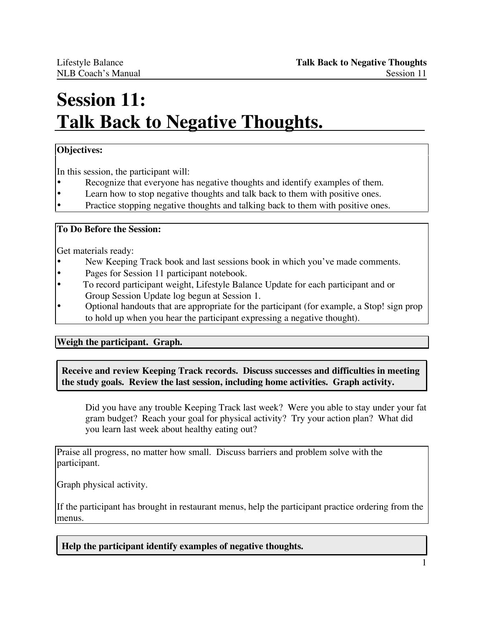# **Session 11: Talk Back to Negative Thoughts.**

## **Objectives:**

In this session, the participant will:

- Recognize that everyone has negative thoughts and identify examples of them.
- Learn how to stop negative thoughts and talk back to them with positive ones.
- Practice stopping negative thoughts and talking back to them with positive ones.

#### **To Do Before the Session:**

Get materials ready:

- New Keeping Track book and last sessions book in which you've made comments.
- Pages for Session 11 participant notebook.
- To record participant weight, Lifestyle Balance Update for each participant and or Group Session Update log begun at Session 1.
- Optional handouts that are appropriate for the participant (for example, a Stop! sign prop to hold up when you hear the participant expressing a negative thought).

**Weigh the participant. Graph.**

**Receive and review Keeping Track records. Discuss successes and difficulties in meeting the study goals. Review the last session, including home activities. Graph activity.**

Did you have any trouble Keeping Track last week? Were you able to stay under your fat gram budget? Reach your goal for physical activity? Try your action plan? What did you learn last week about healthy eating out?

Praise all progress, no matter how small. Discuss barriers and problem solve with the participant.

Graph physical activity.

If the participant has brought in restaurant menus, help the participant practice ordering from the menus.

**Help the participant identify examples of negative thoughts.**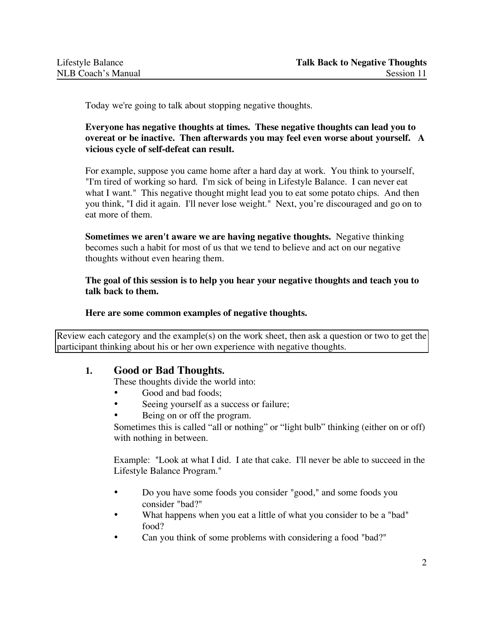Today we're going to talk about stopping negative thoughts.

### **Everyone has negative thoughts at times. These negative thoughts can lead you to overeat or be inactive. Then afterwards you may feel even worse about yourself. A vicious cycle of self-defeat can result.**

For example, suppose you came home after a hard day at work. You think to yourself, "I'm tired of working so hard. I'm sick of being in Lifestyle Balance. I can never eat what I want." This negative thought might lead you to eat some potato chips. And then you think, "I did it again. I'll never lose weight." Next, you're discouraged and go on to eat more of them.

**Sometimes we aren't aware we are having negative thoughts.** Negative thinking becomes such a habit for most of us that we tend to believe and act on our negative thoughts without even hearing them.

**The goal of this session is to help you hear your negative thoughts and teach you to talk back to them.**

#### **Here are some common examples of negative thoughts.**

Review each category and the example(s) on the work sheet, then ask a question or two to get the participant thinking about his or her own experience with negative thoughts.

# **1. Good or Bad Thoughts.**

These thoughts divide the world into:

- Good and bad foods;
- Seeing yourself as a success or failure;
- Being on or off the program.

Sometimes this is called "all or nothing" or "light bulb" thinking (either on or off) with nothing in between.

Example: "Look at what I did. I ate that cake. I'll never be able to succeed in the Lifestyle Balance Program."

- Do you have some foods you consider "good," and some foods you consider "bad?"
- What happens when you eat a little of what you consider to be a "bad" food?
- Can you think of some problems with considering a food "bad?"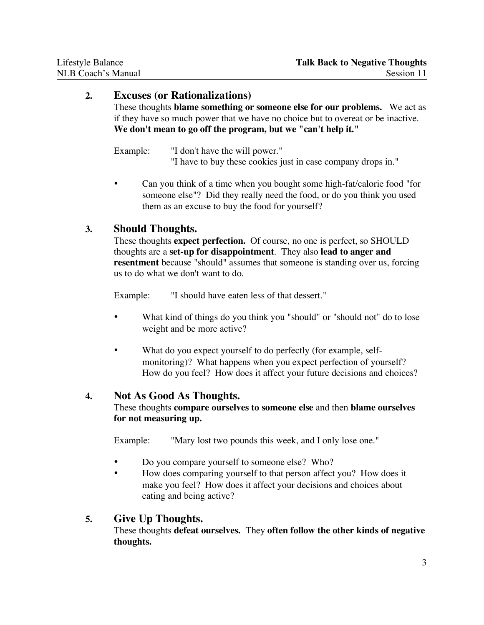## **2. Excuses (or Rationalizations)**

These thoughts **blame something or someone else for our problems.** We act as if they have so much power that we have no choice but to overeat or be inactive. **We don't mean to go off the program, but we "can't help it."**

Example: "I don't have the will power." "I have to buy these cookies just in case company drops in."

• Can you think of a time when you bought some high-fat/calorie food "for someone else"? Did they really need the food, or do you think you used them as an excuse to buy the food for yourself?

# **3. Should Thoughts.**

These thoughts **expect perfection.** Of course, no one is perfect, so SHOULD thoughts are a **set-up for disappointment**. They also **lead to anger and resentment** because "should" assumes that someone is standing over us, forcing us to do what we don't want to do.

Example: "I should have eaten less of that dessert."

- What kind of things do you think you "should" or "should not" do to lose weight and be more active?
- What do you expect yourself to do perfectly (for example, selfmonitoring)? What happens when you expect perfection of yourself? How do you feel? How does it affect your future decisions and choices?

# **4. Not As Good As Thoughts.**

These thoughts **compare ourselves to someone else** and then **blame ourselves for not measuring up.**

Example: "Mary lost two pounds this week, and I only lose one."

- Do you compare yourself to someone else? Who?
- How does comparing yourself to that person affect you? How does it make you feel? How does it affect your decisions and choices about eating and being active?

### **5. Give Up Thoughts.**

These thoughts **defeat ourselves.** They **often follow the other kinds of negative thoughts.**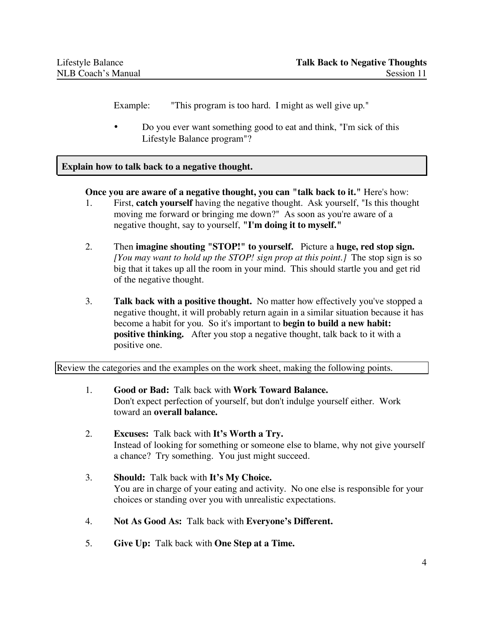Example: "This program is too hard. I might as well give up."

• Do you ever want something good to eat and think, "I'm sick of this Lifestyle Balance program"?

#### **Explain how to talk back to a negative thought.**

**Once you are aware of a negative thought, you can "talk back to it."** Here's how:

- 1. First, **catch yourself** having the negative thought. Ask yourself, "Is this thought moving me forward or bringing me down?" As soon as you're aware of a negative thought, say to yourself, **"I'm doing it to myself."**
- 2. Then **imagine shouting "STOP!" to yourself.** Picture a **huge, red stop sign.** *[You may want to hold up the STOP! sign prop at this point.]* The stop sign is so big that it takes up all the room in your mind. This should startle you and get rid of the negative thought.
- 3. **Talk back with a positive thought.** No matter how effectively you've stopped a negative thought, it will probably return again in a similar situation because it has become a habit for you. So it's important to **begin to build a new habit: positive thinking.** After you stop a negative thought, talk back to it with a positive one.

Review the categories and the examples on the work sheet, making the following points.

- 1. **Good or Bad:** Talk back with **Work Toward Balance.** Don't expect perfection of yourself, but don't indulge yourself either. Work toward an **overall balance.**
- 2. **Excuses:** Talk back with **It's Worth a Try.** Instead of looking for something or someone else to blame, why not give yourself a chance? Try something. You just might succeed.
- 3. **Should:** Talk back with **It's My Choice.** You are in charge of your eating and activity. No one else is responsible for your choices or standing over you with unrealistic expectations.
- 4. **Not As Good As:** Talk back with **Everyone's Different.**
- 5. **Give Up:** Talk back with **One Step at a Time.**